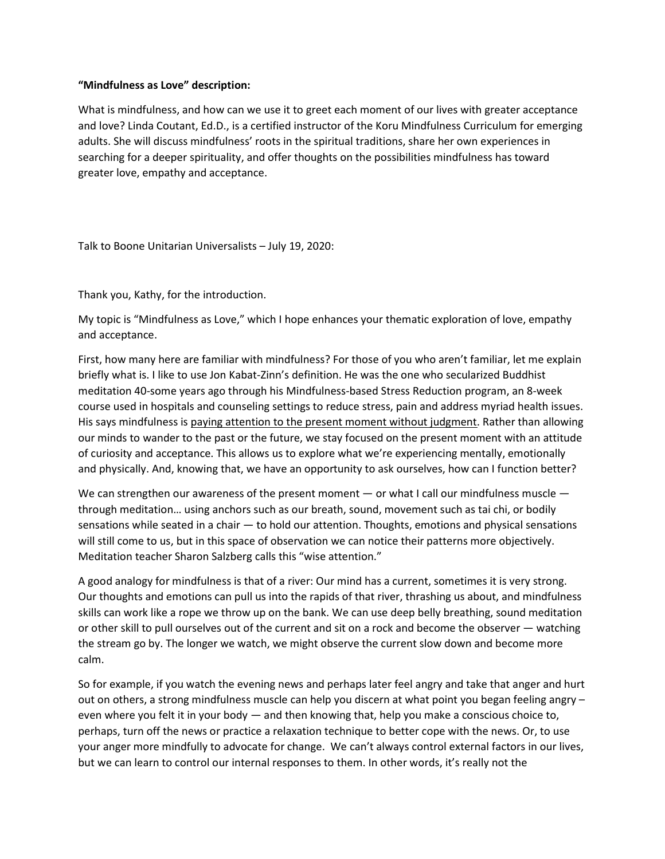## "Mindfulness as Love" description:

What is mindfulness, and how can we use it to greet each moment of our lives with greater acceptance and love? Linda Coutant, Ed.D., is a certified instructor of the Koru Mindfulness Curriculum for emerging adults. She will discuss mindfulness' roots in the spiritual traditions, share her own experiences in searching for a deeper spirituality, and offer thoughts on the possibilities mindfulness has toward greater love, empathy and acceptance.

Talk to Boone Unitarian Universalists – July 19, 2020:

Thank you, Kathy, for the introduction.

My topic is "Mindfulness as Love," which I hope enhances your thematic exploration of love, empathy and acceptance.

First, how many here are familiar with mindfulness? For those of you who aren't familiar, let me explain briefly what is. I like to use Jon Kabat-Zinn's definition. He was the one who secularized Buddhist meditation 40-some years ago through his Mindfulness-based Stress Reduction program, an 8-week course used in hospitals and counseling settings to reduce stress, pain and address myriad health issues. His says mindfulness is paying attention to the present moment without judgment. Rather than allowing our minds to wander to the past or the future, we stay focused on the present moment with an attitude of curiosity and acceptance. This allows us to explore what we're experiencing mentally, emotionally and physically. And, knowing that, we have an opportunity to ask ourselves, how can I function better?

We can strengthen our awareness of the present moment  $-$  or what I call our mindfulness muscle  $$ through meditation… using anchors such as our breath, sound, movement such as tai chi, or bodily sensations while seated in a chair — to hold our attention. Thoughts, emotions and physical sensations will still come to us, but in this space of observation we can notice their patterns more objectively. Meditation teacher Sharon Salzberg calls this "wise attention."

A good analogy for mindfulness is that of a river: Our mind has a current, sometimes it is very strong. Our thoughts and emotions can pull us into the rapids of that river, thrashing us about, and mindfulness skills can work like a rope we throw up on the bank. We can use deep belly breathing, sound meditation or other skill to pull ourselves out of the current and sit on a rock and become the observer — watching the stream go by. The longer we watch, we might observe the current slow down and become more calm.

So for example, if you watch the evening news and perhaps later feel angry and take that anger and hurt out on others, a strong mindfulness muscle can help you discern at what point you began feeling angry – even where you felt it in your body — and then knowing that, help you make a conscious choice to, perhaps, turn off the news or practice a relaxation technique to better cope with the news. Or, to use your anger more mindfully to advocate for change. We can't always control external factors in our lives, but we can learn to control our internal responses to them. In other words, it's really not the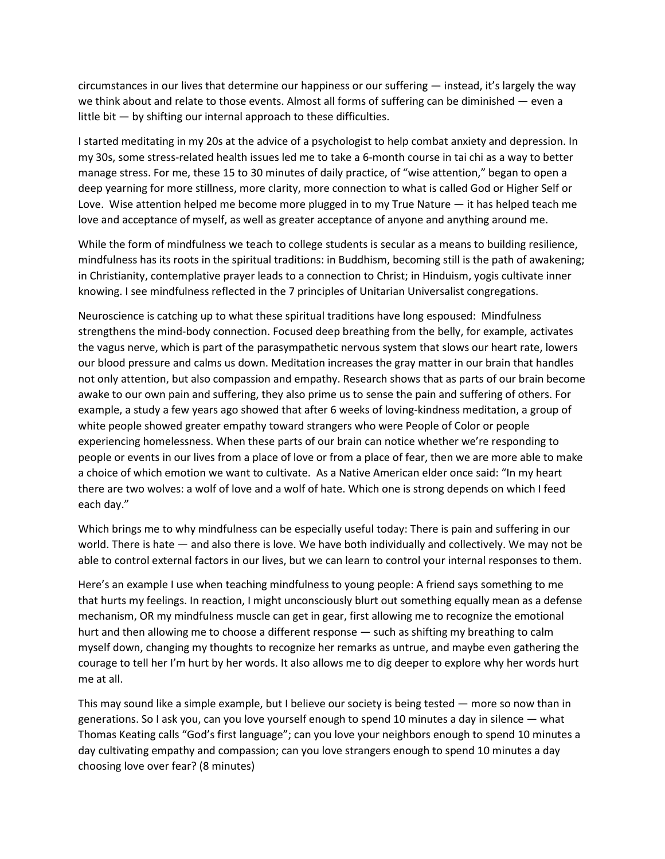circumstances in our lives that determine our happiness or our suffering — instead, it's largely the way we think about and relate to those events. Almost all forms of suffering can be diminished — even a little bit  $-$  by shifting our internal approach to these difficulties.

I started meditating in my 20s at the advice of a psychologist to help combat anxiety and depression. In my 30s, some stress-related health issues led me to take a 6-month course in tai chi as a way to better manage stress. For me, these 15 to 30 minutes of daily practice, of "wise attention," began to open a deep yearning for more stillness, more clarity, more connection to what is called God or Higher Self or Love. Wise attention helped me become more plugged in to my True Nature — it has helped teach me love and acceptance of myself, as well as greater acceptance of anyone and anything around me.

While the form of mindfulness we teach to college students is secular as a means to building resilience, mindfulness has its roots in the spiritual traditions: in Buddhism, becoming still is the path of awakening; in Christianity, contemplative prayer leads to a connection to Christ; in Hinduism, yogis cultivate inner knowing. I see mindfulness reflected in the 7 principles of Unitarian Universalist congregations.

Neuroscience is catching up to what these spiritual traditions have long espoused: Mindfulness strengthens the mind-body connection. Focused deep breathing from the belly, for example, activates the vagus nerve, which is part of the parasympathetic nervous system that slows our heart rate, lowers our blood pressure and calms us down. Meditation increases the gray matter in our brain that handles not only attention, but also compassion and empathy. Research shows that as parts of our brain become awake to our own pain and suffering, they also prime us to sense the pain and suffering of others. For example, a study a few years ago showed that after 6 weeks of loving-kindness meditation, a group of white people showed greater empathy toward strangers who were People of Color or people experiencing homelessness. When these parts of our brain can notice whether we're responding to people or events in our lives from a place of love or from a place of fear, then we are more able to make a choice of which emotion we want to cultivate. As a Native American elder once said: "In my heart there are two wolves: a wolf of love and a wolf of hate. Which one is strong depends on which I feed each day."

Which brings me to why mindfulness can be especially useful today: There is pain and suffering in our world. There is hate — and also there is love. We have both individually and collectively. We may not be able to control external factors in our lives, but we can learn to control your internal responses to them.

Here's an example I use when teaching mindfulness to young people: A friend says something to me that hurts my feelings. In reaction, I might unconsciously blurt out something equally mean as a defense mechanism, OR my mindfulness muscle can get in gear, first allowing me to recognize the emotional hurt and then allowing me to choose a different response — such as shifting my breathing to calm myself down, changing my thoughts to recognize her remarks as untrue, and maybe even gathering the courage to tell her I'm hurt by her words. It also allows me to dig deeper to explore why her words hurt me at all.

This may sound like a simple example, but I believe our society is being tested — more so now than in generations. So I ask you, can you love yourself enough to spend 10 minutes a day in silence — what Thomas Keating calls "God's first language"; can you love your neighbors enough to spend 10 minutes a day cultivating empathy and compassion; can you love strangers enough to spend 10 minutes a day choosing love over fear? (8 minutes)